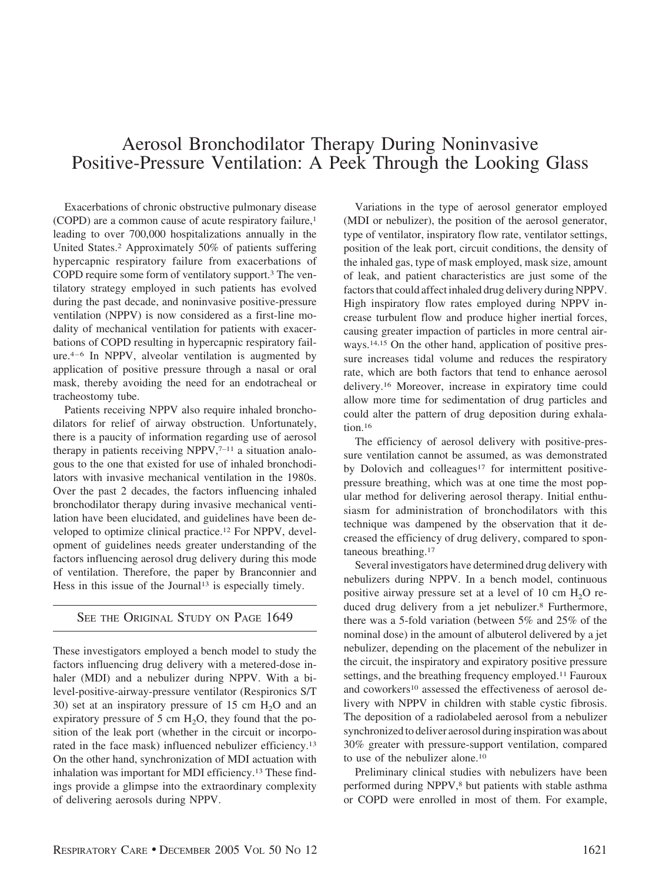## Aerosol Bronchodilator Therapy During Noninvasive Positive-Pressure Ventilation: A Peek Through the Looking Glass

Exacerbations of chronic obstructive pulmonary disease (COPD) are a common cause of acute respiratory failure,1 leading to over 700,000 hospitalizations annually in the United States.2 Approximately 50% of patients suffering hypercapnic respiratory failure from exacerbations of COPD require some form of ventilatory support.3 The ventilatory strategy employed in such patients has evolved during the past decade, and noninvasive positive-pressure ventilation (NPPV) is now considered as a first-line modality of mechanical ventilation for patients with exacerbations of COPD resulting in hypercapnic respiratory failure.4–6 In NPPV, alveolar ventilation is augmented by application of positive pressure through a nasal or oral mask, thereby avoiding the need for an endotracheal or tracheostomy tube.

Patients receiving NPPV also require inhaled bronchodilators for relief of airway obstruction. Unfortunately, there is a paucity of information regarding use of aerosol therapy in patients receiving NPPV, $7-11$  a situation analogous to the one that existed for use of inhaled bronchodilators with invasive mechanical ventilation in the 1980s. Over the past 2 decades, the factors influencing inhaled bronchodilator therapy during invasive mechanical ventilation have been elucidated, and guidelines have been developed to optimize clinical practice.12 For NPPV, development of guidelines needs greater understanding of the factors influencing aerosol drug delivery during this mode of ventilation. Therefore, the paper by Branconnier and Hess in this issue of the Journal<sup>13</sup> is especially timely.

## SEE THE ORIGINAL STUDY ON PAGE 1649

These investigators employed a bench model to study the factors influencing drug delivery with a metered-dose inhaler (MDI) and a nebulizer during NPPV. With a bilevel-positive-airway-pressure ventilator (Respironics S/T 30) set at an inspiratory pressure of 15 cm  $H_2O$  and an expiratory pressure of 5 cm  $H_2O$ , they found that the position of the leak port (whether in the circuit or incorporated in the face mask) influenced nebulizer efficiency.13 On the other hand, synchronization of MDI actuation with inhalation was important for MDI efficiency.13 These findings provide a glimpse into the extraordinary complexity of delivering aerosols during NPPV.

Variations in the type of aerosol generator employed (MDI or nebulizer), the position of the aerosol generator, type of ventilator, inspiratory flow rate, ventilator settings, position of the leak port, circuit conditions, the density of the inhaled gas, type of mask employed, mask size, amount of leak, and patient characteristics are just some of the factors that could affect inhaled drug delivery during NPPV. High inspiratory flow rates employed during NPPV increase turbulent flow and produce higher inertial forces, causing greater impaction of particles in more central airways.14,15 On the other hand, application of positive pressure increases tidal volume and reduces the respiratory rate, which are both factors that tend to enhance aerosol delivery.16 Moreover, increase in expiratory time could allow more time for sedimentation of drug particles and could alter the pattern of drug deposition during exhalation.<sup>16</sup>

The efficiency of aerosol delivery with positive-pressure ventilation cannot be assumed, as was demonstrated by Dolovich and colleagues<sup>17</sup> for intermittent positivepressure breathing, which was at one time the most popular method for delivering aerosol therapy. Initial enthusiasm for administration of bronchodilators with this technique was dampened by the observation that it decreased the efficiency of drug delivery, compared to spontaneous breathing.17

Several investigators have determined drug delivery with nebulizers during NPPV. In a bench model, continuous positive airway pressure set at a level of 10 cm  $H_2O$  reduced drug delivery from a jet nebulizer.8 Furthermore, there was a 5-fold variation (between 5% and 25% of the nominal dose) in the amount of albuterol delivered by a jet nebulizer, depending on the placement of the nebulizer in the circuit, the inspiratory and expiratory positive pressure settings, and the breathing frequency employed.11 Fauroux and coworkers<sup>10</sup> assessed the effectiveness of aerosol delivery with NPPV in children with stable cystic fibrosis. The deposition of a radiolabeled aerosol from a nebulizer synchronized to deliver aerosol during inspiration was about 30% greater with pressure-support ventilation, compared to use of the nebulizer alone.10

Preliminary clinical studies with nebulizers have been performed during NPPV,<sup>8</sup> but patients with stable asthma or COPD were enrolled in most of them. For example,